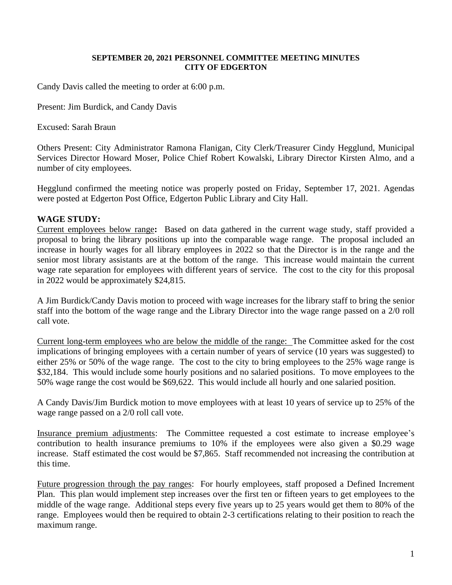## **SEPTEMBER 20, 2021 PERSONNEL COMMITTEE MEETING MINUTES CITY OF EDGERTON**

Candy Davis called the meeting to order at 6:00 p.m.

Present: Jim Burdick, and Candy Davis

Excused: Sarah Braun

Others Present: City Administrator Ramona Flanigan, City Clerk/Treasurer Cindy Hegglund, Municipal Services Director Howard Moser, Police Chief Robert Kowalski, Library Director Kirsten Almo, and a number of city employees.

Hegglund confirmed the meeting notice was properly posted on Friday, September 17, 2021. Agendas were posted at Edgerton Post Office, Edgerton Public Library and City Hall.

## **WAGE STUDY:**

Current employees below range**:** Based on data gathered in the current wage study, staff provided a proposal to bring the library positions up into the comparable wage range. The proposal included an increase in hourly wages for all library employees in 2022 so that the Director is in the range and the senior most library assistants are at the bottom of the range. This increase would maintain the current wage rate separation for employees with different years of service. The cost to the city for this proposal in 2022 would be approximately \$24,815.

A Jim Burdick/Candy Davis motion to proceed with wage increases for the library staff to bring the senior staff into the bottom of the wage range and the Library Director into the wage range passed on a 2/0 roll call vote.

Current long-term employees who are below the middle of the range: The Committee asked for the cost implications of bringing employees with a certain number of years of service (10 years was suggested) to either 25% or 50% of the wage range. The cost to the city to bring employees to the 25% wage range is \$32,184. This would include some hourly positions and no salaried positions. To move employees to the 50% wage range the cost would be \$69,622. This would include all hourly and one salaried position.

A Candy Davis/Jim Burdick motion to move employees with at least 10 years of service up to 25% of the wage range passed on a 2/0 roll call vote.

Insurance premium adjustments: The Committee requested a cost estimate to increase employee's contribution to health insurance premiums to 10% if the employees were also given a \$0.29 wage increase. Staff estimated the cost would be \$7,865. Staff recommended not increasing the contribution at this time.

Future progression through the pay ranges: For hourly employees, staff proposed a Defined Increment Plan. This plan would implement step increases over the first ten or fifteen years to get employees to the middle of the wage range. Additional steps every five years up to 25 years would get them to 80% of the range. Employees would then be required to obtain 2-3 certifications relating to their position to reach the maximum range.